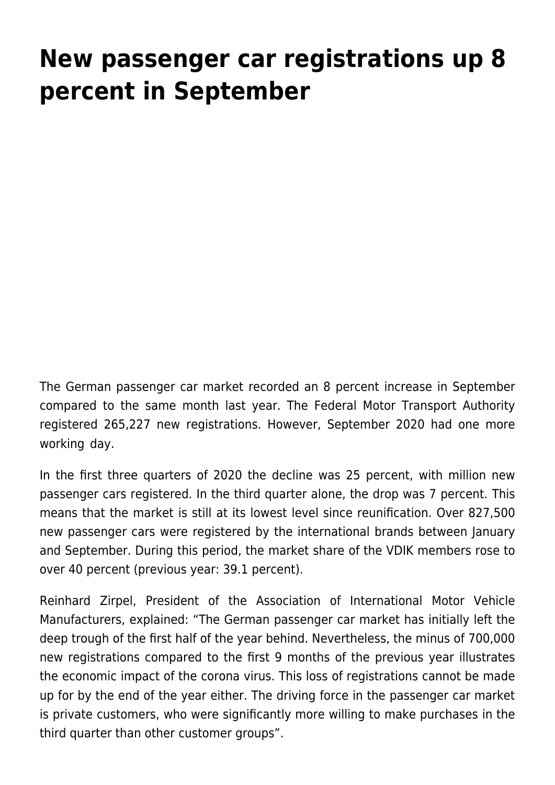## **[New passenger car registrations up 8](https://www.vdik.de/en/2020/new-passenger-car-registrations-up-8-percent-in-september/) [percent in September](https://www.vdik.de/en/2020/new-passenger-car-registrations-up-8-percent-in-september/)**

The German passenger car market recorded an 8 percent increase in September compared to the same month last year. The Federal Motor Transport Authority registered 265,227 new registrations. However, September 2020 had one more working day.

In the first three quarters of 2020 the decline was 25 percent, with million new passenger cars registered. In the third quarter alone, the drop was 7 percent. This means that the market is still at its lowest level since reunification. Over 827,500 new passenger cars were registered by the international brands between January and September. During this period, the market share of the VDIK members rose to over 40 percent (previous year: 39.1 percent).

Reinhard Zirpel, President of the Association of International Motor Vehicle Manufacturers, explained: "The German passenger car market has initially left the deep trough of the first half of the year behind. Nevertheless, the minus of 700,000 new registrations compared to the first 9 months of the previous year illustrates the economic impact of the corona virus. This loss of registrations cannot be made up for by the end of the year either. The driving force in the passenger car market is private customers, who were significantly more willing to make purchases in the third quarter than other customer groups".